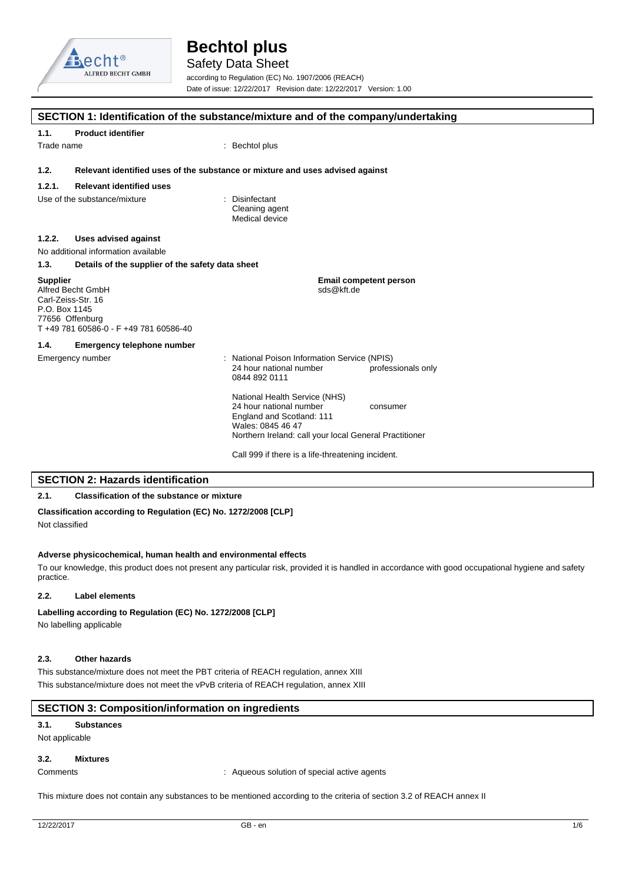

Safety Data Sheet according to Regulation (EC) No. 1907/2006 (REACH) Date of issue: 12/22/2017 Revision date: 12/22/2017 Version: 1.00

| 1.1.                             | <b>Product identifier</b>                                                                            |                                                                                                                                                                                  |
|----------------------------------|------------------------------------------------------------------------------------------------------|----------------------------------------------------------------------------------------------------------------------------------------------------------------------------------|
| Trade name                       |                                                                                                      | : Bechtol plus                                                                                                                                                                   |
| 1.2.                             |                                                                                                      | Relevant identified uses of the substance or mixture and uses advised against                                                                                                    |
| 1.2.1.                           | <b>Relevant identified uses</b>                                                                      |                                                                                                                                                                                  |
|                                  | Use of the substance/mixture                                                                         | : Disinfectant<br>Cleaning agent<br>Medical device                                                                                                                               |
| 1.2.2.                           | <b>Uses advised against</b>                                                                          |                                                                                                                                                                                  |
|                                  | No additional information available                                                                  |                                                                                                                                                                                  |
| 1.3.                             | Details of the supplier of the safety data sheet                                                     |                                                                                                                                                                                  |
| <b>Supplier</b><br>P.O. Box 1145 | Alfred Becht GmbH<br>Carl-Zeiss-Str. 16<br>77656 Offenburg<br>T +49 781 60586-0 - F +49 781 60586-40 | <b>Email competent person</b><br>sds@kft.de                                                                                                                                      |
| 1.4.                             | <b>Emergency telephone number</b>                                                                    |                                                                                                                                                                                  |
|                                  | Emergency number                                                                                     | : National Poison Information Service (NPIS)<br>24 hour national number<br>professionals only<br>0844 892 0111                                                                   |
|                                  |                                                                                                      | National Health Service (NHS)<br>24 hour national number<br>consumer<br>England and Scotland: 111<br>Wales: 0845 46 47<br>Northern Ireland: call your local General Practitioner |
|                                  |                                                                                                      | Call 999 if there is a life-threatening incident.                                                                                                                                |

## **2.1. Classification of the substance or mixture**

### **Classification according to Regulation (EC) No. 1272/2008 [CLP]**

Not classified

### **Adverse physicochemical, human health and environmental effects**

To our knowledge, this product does not present any particular risk, provided it is handled in accordance with good occupational hygiene and safety practice.

### **2.2. Label elements**

### Labelling according to Regulation (EC) No. 1272/2008 [CLP]

No labelling applicable

### **2.3. Other hazards**

This substance/mixture does not meet the PBT criteria of REACH regulation, annex XIII This substance/mixture does not meet the vPvB criteria of REACH regulation, annex XIII

### **SECTION 3: Composition/information on ingredients**

### **3.1. Substances**

Not applicable

### **3.2. Mixtures**

Comments **Comments** : Aqueous solution of special active agents

This mixture does not contain any substances to be mentioned according to the criteria of section 3.2 of REACH annex II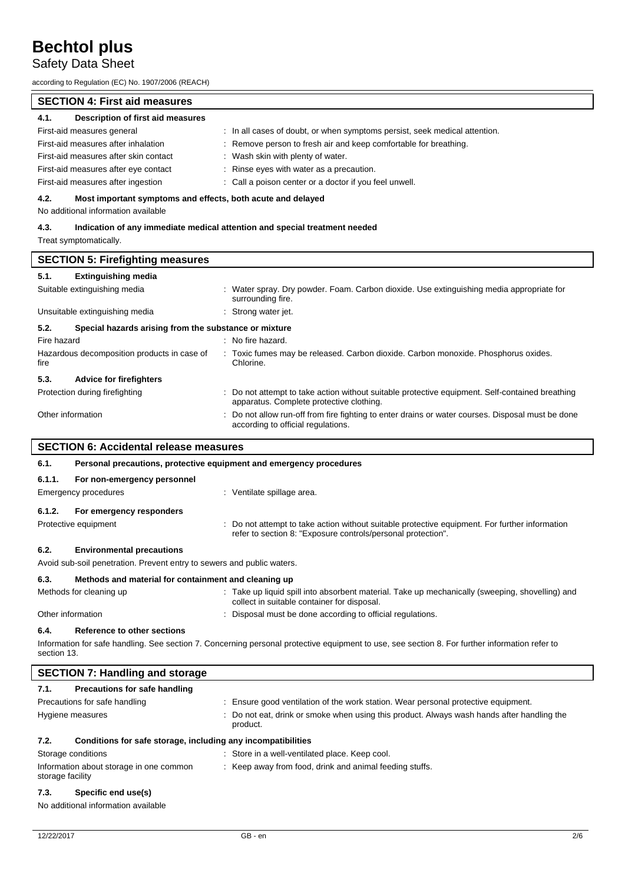### Safety Data Sheet

according to Regulation (EC) No. 1907/2006 (REACH)

### **SECTION 4: First aid measures**

#### **4.1. Description of first aid measures**

| 4.1.<br>Description of first aid measures |                                                                            |
|-------------------------------------------|----------------------------------------------------------------------------|
| First-aid measures general                | : In all cases of doubt, or when symptoms persist, seek medical attention. |
| First-aid measures after inhalation       | : Remove person to fresh air and keep comfortable for breathing.           |
| First-aid measures after skin contact     | : Wash skin with plenty of water.                                          |
| First-aid measures after eye contact      | : Rinse eyes with water as a precaution.                                   |
| First-aid measures after ingestion        | : Call a poison center or a doctor if you feel unwell.                     |

### **4.2. Most important symptoms and effects, both acute and delayed**

No additional information available

### **4.3. Indication of any immediate medical attention and special treatment needed**

Treat symptomatically.

| <b>SECTION 5: Firefighting measures</b>             |                                                                                                                                             |  |  |
|-----------------------------------------------------|---------------------------------------------------------------------------------------------------------------------------------------------|--|--|
| <b>Extinguishing media</b><br>5.1.                  |                                                                                                                                             |  |  |
| Suitable extinguishing media                        | Water spray. Dry powder. Foam. Carbon dioxide. Use extinguishing media appropriate for<br>surrounding fire.                                 |  |  |
| Unsuitable extinguishing media                      | : Strong water jet.                                                                                                                         |  |  |
| 5.2.                                                | Special hazards arising from the substance or mixture                                                                                       |  |  |
| Fire hazard                                         | $:$ No fire hazard.                                                                                                                         |  |  |
| Hazardous decomposition products in case of<br>fire | : Toxic fumes may be released. Carbon dioxide. Carbon monoxide. Phosphorus oxides.<br>Chlorine.                                             |  |  |
| 5.3.<br><b>Advice for firefighters</b>              |                                                                                                                                             |  |  |
| Protection during firefighting                      | : Do not attempt to take action without suitable protective equipment. Self-contained breathing<br>apparatus. Complete protective clothing. |  |  |
| Other information                                   | : Do not allow run-off from fire fighting to enter drains or water courses. Disposal must be done<br>according to official regulations.     |  |  |
|                                                     |                                                                                                                                             |  |  |

### **SECTION 6: Accidental release measures**

| 6.1.   | Personal precautions, protective equipment and emergency procedures |                                                                                                                                                                |  |
|--------|---------------------------------------------------------------------|----------------------------------------------------------------------------------------------------------------------------------------------------------------|--|
| 6.1.1. | For non-emergency personnel<br>Emergency procedures                 | : Ventilate spillage area.                                                                                                                                     |  |
| 6.1.2. | For emergency responders                                            |                                                                                                                                                                |  |
|        | Protective equipment                                                | : Do not attempt to take action without suitable protective equipment. For further information<br>refer to section 8: "Exposure controls/personal protection". |  |
| 6.2.   | <b>Environmental precautions</b>                                    |                                                                                                                                                                |  |

Avoid sub-soil penetration. Prevent entry to sewers and public waters.

### **6.3. Methods and material for containment and cleaning up**

| Methods for cleaning up | : Take up liquid spill into absorbent material. Take up mechanically (sweeping, shovelling) and<br>collect in suitable container for disposal. |
|-------------------------|------------------------------------------------------------------------------------------------------------------------------------------------|
|                         |                                                                                                                                                |

Other information **interval according to official regulations**. Disposal must be done according to official regulations.

### **6.4. Reference to other sections**

Information for safe handling. See section 7. Concerning personal protective equipment to use, see section 8. For further information refer to section 13.

|                  | <b>SECTION 7: Handling and storage</b>                       |                                                                                                      |
|------------------|--------------------------------------------------------------|------------------------------------------------------------------------------------------------------|
| 7.1.             | Precautions for safe handling                                |                                                                                                      |
|                  | Precautions for safe handling                                | : Ensure good ventilation of the work station. Wear personal protective equipment.                   |
|                  | Hygiene measures                                             | Do not eat, drink or smoke when using this product. Always wash hands after handling the<br>product. |
| 7.2.             | Conditions for safe storage, including any incompatibilities |                                                                                                      |
|                  | Storage conditions                                           | : Store in a well-ventilated place. Keep cool.                                                       |
| storage facility | Information about storage in one common                      | : Keep away from food, drink and animal feeding stuffs.                                              |
| 72               | Snacific and usale)                                          |                                                                                                      |

**7.3. Specific end use(s)**

```
No additional information available
```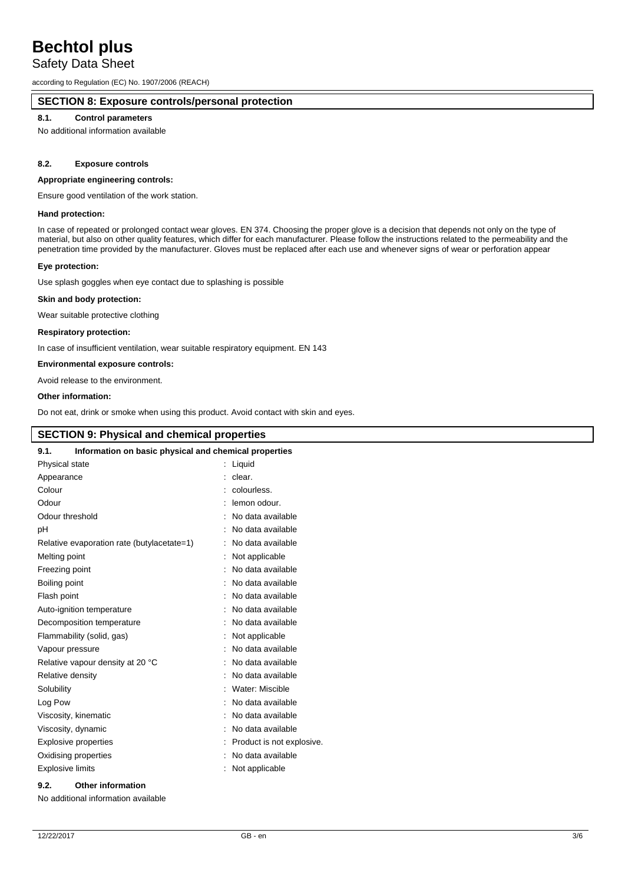### Safety Data Sheet

according to Regulation (EC) No. 1907/2006 (REACH)

### **SECTION 8: Exposure controls/personal protection**

### **8.1. Control parameters**

No additional information available

### **8.2. Exposure controls**

### **Appropriate engineering controls:**

Ensure good ventilation of the work station.

### **Hand protection:**

In case of repeated or prolonged contact wear gloves. EN 374. Choosing the proper glove is a decision that depends not only on the type of material, but also on other quality features, which differ for each manufacturer. Please follow the instructions related to the permeability and the penetration time provided by the manufacturer. Gloves must be replaced after each use and whenever signs of wear or perforation appear

### **Eye protection:**

Use splash goggles when eye contact due to splashing is possible

#### **Skin and body protection:**

Wear suitable protective clothing

### **Respiratory protection:**

In case of insufficient ventilation, wear suitable respiratory equipment. EN 143

### **Environmental exposure controls:**

Avoid release to the environment.

#### **Other information:**

Do not eat, drink or smoke when using this product. Avoid contact with skin and eyes.

### **SECTION 9: Physical and chemical properties**

| Information on basic physical and chemical properties<br>9.1. |                           |  |
|---------------------------------------------------------------|---------------------------|--|
| Physical state                                                | : Liquid                  |  |
| Appearance                                                    | clear.<br>÷               |  |
| Colour                                                        | colourless.               |  |
| Odour                                                         | lemon odour.              |  |
| Odour threshold                                               | No data available         |  |
| pH                                                            | No data available         |  |
| Relative evaporation rate (butylacetate=1)                    | : No data available       |  |
| Melting point                                                 | Not applicable            |  |
| Freezing point                                                | No data available         |  |
| Boiling point                                                 | No data available         |  |
| Flash point                                                   | No data available         |  |
| Auto-ignition temperature                                     | No data available         |  |
| Decomposition temperature                                     | No data available         |  |
| Flammability (solid, gas)                                     | Not applicable            |  |
| Vapour pressure                                               | No data available         |  |
| Relative vapour density at 20 °C                              | No data available         |  |
| Relative density                                              | No data available         |  |
| Solubility                                                    | Water: Miscible           |  |
| Log Pow                                                       | No data available         |  |
| Viscosity, kinematic                                          | No data available         |  |
| Viscosity, dynamic                                            | No data available         |  |
| <b>Explosive properties</b>                                   | Product is not explosive. |  |
| Oxidising properties                                          | No data available         |  |
| <b>Explosive limits</b>                                       | Not applicable            |  |
|                                                               |                           |  |

### **9.2. Other information**

No additional information available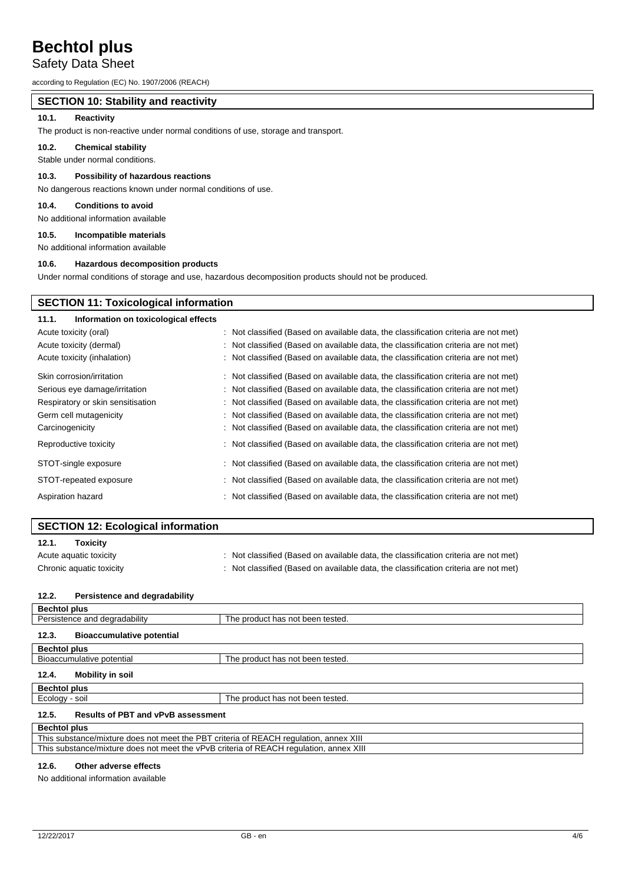### Safety Data Sheet

according to Regulation (EC) No. 1907/2006 (REACH)

### **SECTION 10: Stability and reactivity**

### **10.1. Reactivity**

The product is non-reactive under normal conditions of use, storage and transport.

### **10.2. Chemical stability**

Stable under normal conditions.

### **10.3. Possibility of hazardous reactions**

No dangerous reactions known under normal conditions of use.

### **10.4. Conditions to avoid**

No additional information available

### **10.5. Incompatible materials**

No additional information available

### **10.6. Hazardous decomposition products**

Under normal conditions of storage and use, hazardous decomposition products should not be produced.

### **SECTION 11: Toxicological information**

| Information on toxicological effects<br>11.1. |                                                                                     |
|-----------------------------------------------|-------------------------------------------------------------------------------------|
| Acute toxicity (oral)                         | : Not classified (Based on available data, the classification criteria are not met) |
| Acute toxicity (dermal)                       | : Not classified (Based on available data, the classification criteria are not met) |
| Acute toxicity (inhalation)                   | : Not classified (Based on available data, the classification criteria are not met) |
| Skin corrosion/irritation                     | : Not classified (Based on available data, the classification criteria are not met) |
| Serious eye damage/irritation                 | : Not classified (Based on available data, the classification criteria are not met) |
| Respiratory or skin sensitisation             | : Not classified (Based on available data, the classification criteria are not met) |
| Germ cell mutagenicity                        | : Not classified (Based on available data, the classification criteria are not met) |
| Carcinogenicity                               | : Not classified (Based on available data, the classification criteria are not met) |
| Reproductive toxicity                         | : Not classified (Based on available data, the classification criteria are not met) |
| STOT-single exposure                          | : Not classified (Based on available data, the classification criteria are not met) |
| STOT-repeated exposure                        | : Not classified (Based on available data, the classification criteria are not met) |
| Aspiration hazard                             | : Not classified (Based on available data, the classification criteria are not met) |

|                          | <b>SECTION 12: Ecological information</b> |                                                                                     |
|--------------------------|-------------------------------------------|-------------------------------------------------------------------------------------|
| 12.1.                    | <b>Toxicity</b>                           |                                                                                     |
| Acute aquatic toxicity   |                                           | : Not classified (Based on available data, the classification criteria are not met) |
| Chronic aquatic toxicity |                                           | : Not classified (Based on available data, the classification criteria are not met) |
| 12.2.                    | Persistence and degradability             |                                                                                     |
| <b>Bechtol plus</b>      |                                           |                                                                                     |

| שמות וטישכ                                                                             |                                  |  |
|----------------------------------------------------------------------------------------|----------------------------------|--|
| Persistence and degradability                                                          | The product has not been tested. |  |
| <b>Bioaccumulative potential</b><br>12.3.                                              |                                  |  |
| <b>Bechtol plus</b>                                                                    |                                  |  |
| Bioaccumulative potential                                                              | The product has not been tested. |  |
| Mobility in soil<br>12.4.                                                              |                                  |  |
| <b>Bechtol plus</b>                                                                    |                                  |  |
| Ecology - soil                                                                         | The product has not been tested. |  |
| <b>Results of PBT and vPvB assessment</b><br>12.5.                                     |                                  |  |
| <b>Bechtol plus</b>                                                                    |                                  |  |
| This substance/mixture does not meet the PBT criteria of REACH regulation, annex XIII  |                                  |  |
| This substance/mixture does not meet the vPvB criteria of REACH regulation, annex XIII |                                  |  |
|                                                                                        |                                  |  |

### **12.6. Other adverse effects**

No additional information available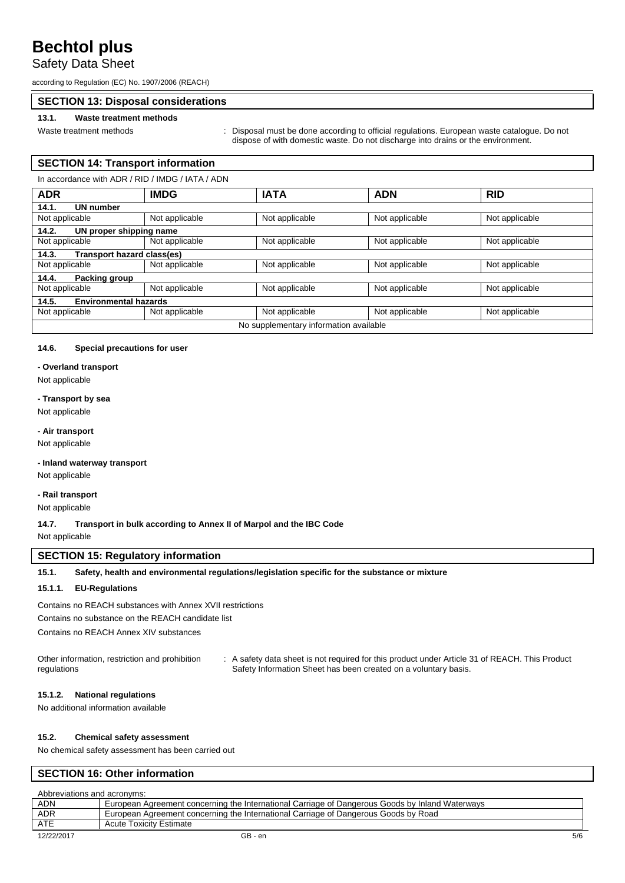### Safety Data Sheet

according to Regulation (EC) No. 1907/2006 (REACH)

### **SECTION 13: Disposal considerations**

### **13.1. Waste treatment methods**

Waste treatment methods : Disposal must be done according to official regulations. European waste catalogue. Do not dispose of with domestic waste. Do not discharge into drains or the environment.

### **SECTION 14: Transport information**

| In accordance with ADR / RID / IMDG / IATA / ADN |                                        |                |                |                |
|--------------------------------------------------|----------------------------------------|----------------|----------------|----------------|
| <b>ADR</b>                                       | <b>IMDG</b>                            | <b>IATA</b>    | <b>ADN</b>     | <b>RID</b>     |
| 14.1.<br>UN number                               |                                        |                |                |                |
| Not applicable                                   | Not applicable                         | Not applicable | Not applicable | Not applicable |
| 14.2.<br>UN proper shipping name                 |                                        |                |                |                |
| Not applicable                                   | Not applicable                         | Not applicable | Not applicable | Not applicable |
| 14.3.<br>Transport hazard class(es)              |                                        |                |                |                |
| Not applicable                                   | Not applicable                         | Not applicable | Not applicable | Not applicable |
| 14.4.<br>Packing group                           |                                        |                |                |                |
| Not applicable                                   | Not applicable                         | Not applicable | Not applicable | Not applicable |
| 14.5.                                            | <b>Environmental hazards</b>           |                |                |                |
| Not applicable                                   | Not applicable                         | Not applicable | Not applicable | Not applicable |
|                                                  | No supplementary information available |                |                |                |

#### **14.6. Special precautions for user**

**- Overland transport**

Not applicable

### **- Transport by sea**

Not applicable

### **- Air transport**

Not applicable

### **- Inland waterway transport**

Not applicable

### **- Rail transport**

Not applicable

**14.7. Transport in bulk according to Annex II of Marpol and the IBC Code**

Not applicable

### **SECTION 15: Regulatory information**

### **15.1. Safety, health and environmental regulations/legislation specific for the substance or mixture**

### **15.1.1. EU-Regulations**

Contains no REACH substances with Annex XVII restrictions Contains no substance on the REACH candidate list

Contains no REACH Annex XIV substances

Other information, restriction and prohibition regulations : A safety data sheet is not required for this product under Article 31 of REACH. This Product Safety Information Sheet has been created on a voluntary basis.

### **15.1.2. National regulations**

No additional information available

### **15.2. Chemical safety assessment**

No chemical safety assessment has been carried out

### **SECTION 16: Other information**

|            | Abbreviations and acronyms:                                                                     |     |  |
|------------|-------------------------------------------------------------------------------------------------|-----|--|
| <b>ADN</b> | European Agreement concerning the International Carriage of Dangerous Goods by Inland Waterways |     |  |
| ADR        | European Agreement concerning the International Carriage of Dangerous Goods by Road             |     |  |
| ATE        | Acute Toxicity Estimate                                                                         |     |  |
| 12/22/2017 | GB - en                                                                                         | 5/6 |  |